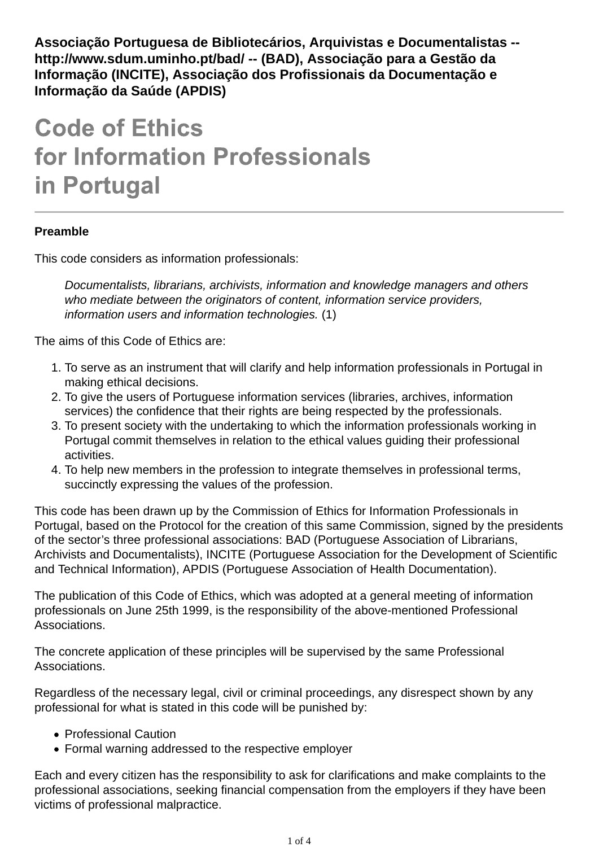**Associação Portuguesa de Bibliotecários, Arquivistas e Documentalistas - http://www.sdum.uminho.pt/bad/ -- (BAD), Associação para a Gestão da Informação (INCITE), Associação dos Profissionais da Documentação e Informação da Saúde (APDIS)**

# **Code of Ethics** for Information Professionals in Portugal

# **Preamble**

This code considers as information professionals:

*Documentalists, librarians, archivists, information and knowledge managers and others who mediate between the originators of content, information service providers, information users and information technologies.* (1)

The aims of this Code of Ethics are:

- 1. To serve as an instrument that will clarify and help information professionals in Portugal in making ethical decisions.
- 2. To give the users of Portuguese information services (libraries, archives, information services) the confidence that their rights are being respected by the professionals.
- 3. To present society with the undertaking to which the information professionals working in Portugal commit themselves in relation to the ethical values guiding their professional activities.
- 4. To help new members in the profession to integrate themselves in professional terms, succinctly expressing the values of the profession.

This code has been drawn up by the Commission of Ethics for Information Professionals in Portugal, based on the Protocol for the creation of this same Commission, signed by the presidents of the sector's three professional associations: BAD (Portuguese Association of Librarians, Archivists and Documentalists), INCITE (Portuguese Association for the Development of Scientific and Technical Information), APDIS (Portuguese Association of Health Documentation).

The publication of this Code of Ethics, which was adopted at a general meeting of information professionals on June 25th 1999, is the responsibility of the above-mentioned Professional Associations.

The concrete application of these principles will be supervised by the same Professional Associations.

Regardless of the necessary legal, civil or criminal proceedings, any disrespect shown by any professional for what is stated in this code will be punished by:

- Professional Caution
- Formal warning addressed to the respective employer

Each and every citizen has the responsibility to ask for clarifications and make complaints to the professional associations, seeking financial compensation from the employers if they have been victims of professional malpractice.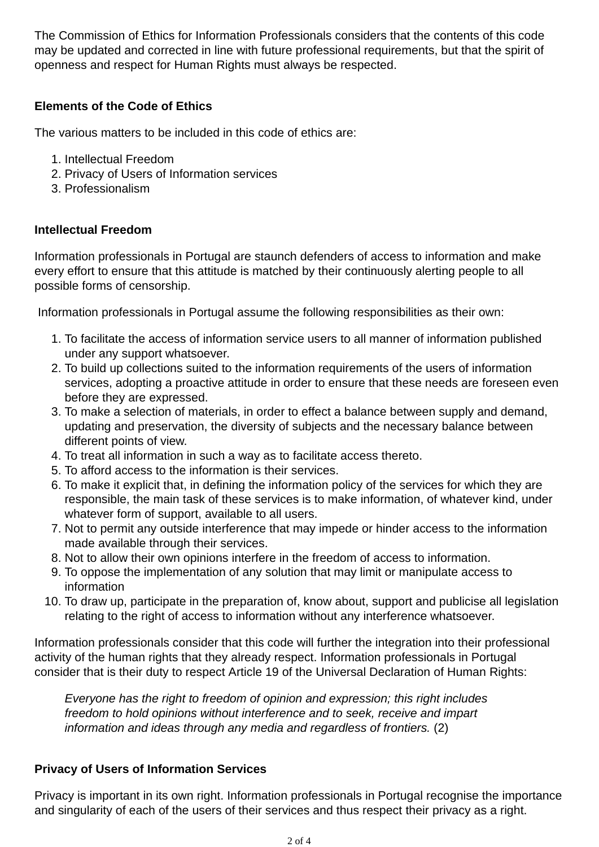The Commission of Ethics for Information Professionals considers that the contents of this code may be updated and corrected in line with future professional requirements, but that the spirit of openness and respect for Human Rights must always be respected.

# **Elements of the Code of Ethics**

The various matters to be included in this code of ethics are:

- 1. Intellectual Freedom
- 2. Privacy of Users of Information services
- 3. Professionalism

#### **Intellectual Freedom**

Information professionals in Portugal are staunch defenders of access to information and make every effort to ensure that this attitude is matched by their continuously alerting people to all possible forms of censorship.

Information professionals in Portugal assume the following responsibilities as their own:

- 1. To facilitate the access of information service users to all manner of information published under any support whatsoever.
- 2. To build up collections suited to the information requirements of the users of information services, adopting a proactive attitude in order to ensure that these needs are foreseen even before they are expressed.
- 3. To make a selection of materials, in order to effect a balance between supply and demand, updating and preservation, the diversity of subjects and the necessary balance between different points of view.
- 4. To treat all information in such a way as to facilitate access thereto.
- 5. To afford access to the information is their services.
- 6. To make it explicit that, in defining the information policy of the services for which they are responsible, the main task of these services is to make information, of whatever kind, under whatever form of support, available to all users.
- 7. Not to permit any outside interference that may impede or hinder access to the information made available through their services.
- 8. Not to allow their own opinions interfere in the freedom of access to information.
- 9. To oppose the implementation of any solution that may limit or manipulate access to information
- 10. To draw up, participate in the preparation of, know about, support and publicise all legislation relating to the right of access to information without any interference whatsoever.

Information professionals consider that this code will further the integration into their professional activity of the human rights that they already respect. Information professionals in Portugal consider that is their duty to respect Article 19 of the Universal Declaration of Human Rights:

*Everyone has the right to freedom of opinion and expression; this right includes freedom to hold opinions without interference and to seek, receive and impart information and ideas through any media and regardless of frontiers.* (2)

# **Privacy of Users of Information Services**

Privacy is important in its own right. Information professionals in Portugal recognise the importance and singularity of each of the users of their services and thus respect their privacy as a right.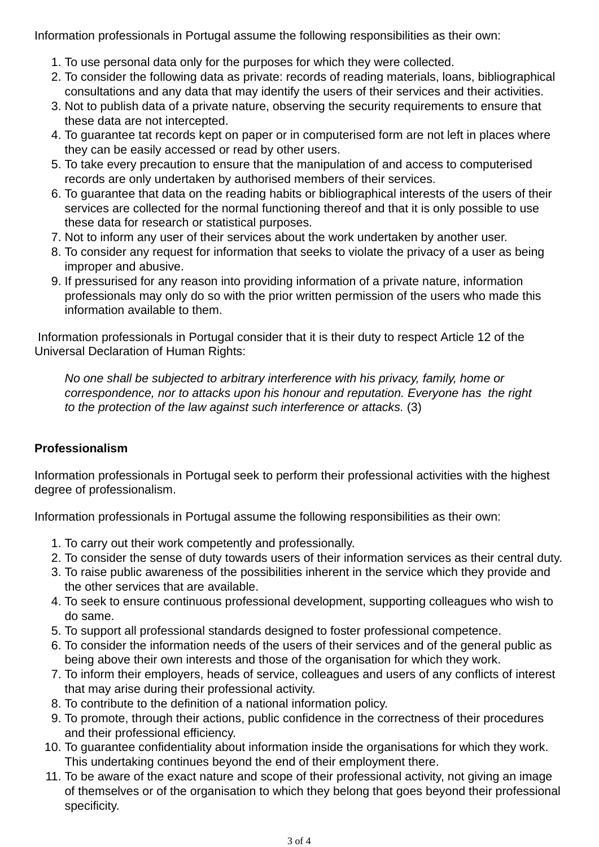Information professionals in Portugal assume the following responsibilities as their own:

- 1. To use personal data only for the purposes for which they were collected.
- 2. To consider the following data as private: records of reading materials, loans, bibliographical consultations and any data that may identify the users of their services and their activities.
- 3. Not to publish data of a private nature, observing the security requirements to ensure that these data are not intercepted.
- 4. To guarantee tat records kept on paper or in computerised form are not left in places where they can be easily accessed or read by other users.
- 5. To take every precaution to ensure that the manipulation of and access to computerised records are only undertaken by authorised members of their services.
- 6. To guarantee that data on the reading habits or bibliographical interests of the users of their services are collected for the normal functioning thereof and that it is only possible to use these data for research or statistical purposes.
- 7. Not to inform any user of their services about the work undertaken by another user.
- 8. To consider any request for information that seeks to violate the privacy of a user as being improper and abusive.
- 9. If pressurised for any reason into providing information of a private nature, information professionals may only do so with the prior written permission of the users who made this information available to them.

 Information professionals in Portugal consider that it is their duty to respect Article 12 of the Universal Declaration of Human Rights:

*No one shall be subjected to arbitrary interference with his privacy, family, home or correspondence, nor to attacks upon his honour and reputation. Everyone has the right to the protection of the law against such interference or attacks.* (3)

# **Professionalism**

Information professionals in Portugal seek to perform their professional activities with the highest degree of professionalism.

Information professionals in Portugal assume the following responsibilities as their own:

- 1. To carry out their work competently and professionally.
- 2. To consider the sense of duty towards users of their information services as their central duty.
- 3. To raise public awareness of the possibilities inherent in the service which they provide and the other services that are available.
- 4. To seek to ensure continuous professional development, supporting colleagues who wish to do same.
- 5. To support all professional standards designed to foster professional competence.
- 6. To consider the information needs of the users of their services and of the general public as being above their own interests and those of the organisation for which they work.
- 7. To inform their employers, heads of service, colleagues and users of any conflicts of interest that may arise during their professional activity.
- 8. To contribute to the definition of a national information policy.
- 9. To promote, through their actions, public confidence in the correctness of their procedures and their professional efficiency.
- 10. To guarantee confidentiality about information inside the organisations for which they work. This undertaking continues beyond the end of their employment there.
- 11. To be aware of the exact nature and scope of their professional activity, not giving an image of themselves or of the organisation to which they belong that goes beyond their professional specificity.